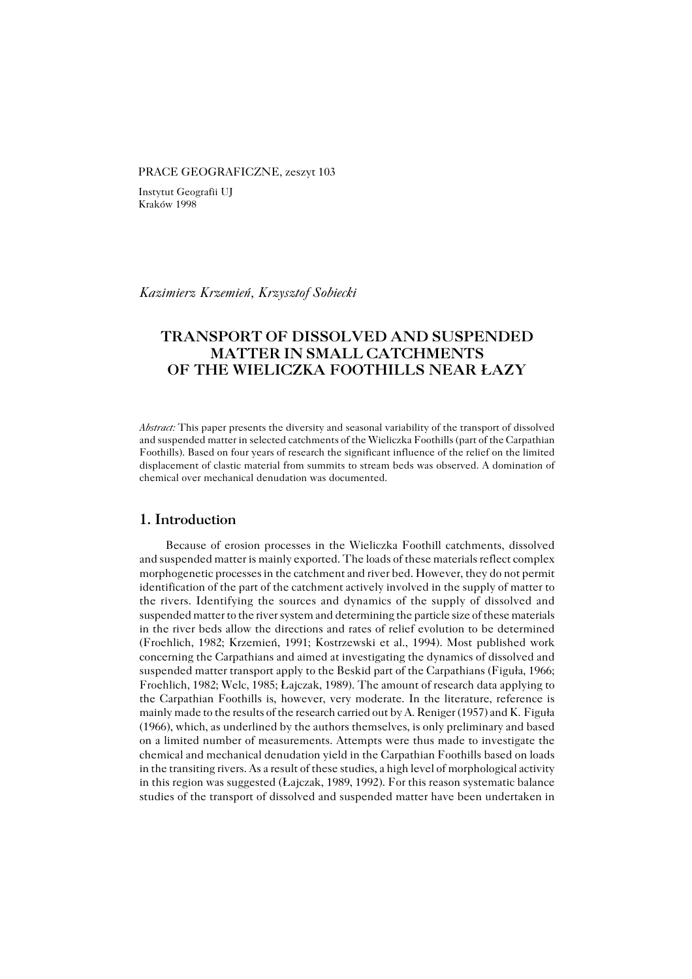#### PRACE GEOGRAFICZNE, zeszyt 103

Instytut Geografii UJ Kraków 1998

*Kazimierz Krzemień, Krzysztof Sobiecki*

# **TRANSPORT OF DISSOLVED AND SUSPENDED MATTER IN SMALL CATCHMENTS OF THE WIELICZKA FOOTHILLS NEAR ŁAZY**

*Abstract:* This paper presents the diversity and seasonal variability of the transport of dissolved and suspended matter in selected catchments of the Wieliczka Foothills (part of the Carpathian Foothills). Based on four years of research the significant influence of the relief on the limited displacement of clastic material from summits to stream beds was observed. A domination of chemical over mechanical denudation was documented.

## **1. Introduction**

Because of erosion processes in the Wieliczka Foothill catchments, dissolved and suspended matter is mainly exported. The loads of these materials reflect complex morphogenetic processes in the catchment and river bed. However, they do not permit identification of the part of the catchment actively involved in the supply of matter to the rivers. Identifying the sources and dynamics of the supply of dissolved and suspended matter to the river system and determining the particle size of these materials in the river beds allow the directions and rates of relief evolution to be determined (Froehlich, 1982; Krzemień, 1991; Kostrzewski et al., 1994). Most published work concerning the Carpathians and aimed at investigating the dynamics of dissolved and suspended matter transport apply to the Beskid part of the Carpathians (Figuła, 1966; Froehlich, 1982; Welc, 1985; Łajczak, 1989). The amount of research data applying to the Carpathian Foothills is, however, very moderate. In the literature, reference is mainly made to the results of the research carried out by A. Reniger (1957) and K.Figuła (1966), which, as underlined by the authors themselves, is only preliminary and based on a limited number of measurements. Attempts were thus made to investigate the chemical and mechanical denudation yield in the Carpathian Foothills based on loads in the transiting rivers. As a result of these studies, a high level of morphological activity in this region was suggested (Łajczak, 1989, 1992). For this reason systematic balance studies of the transport of dissolved and suspended matter have been undertaken in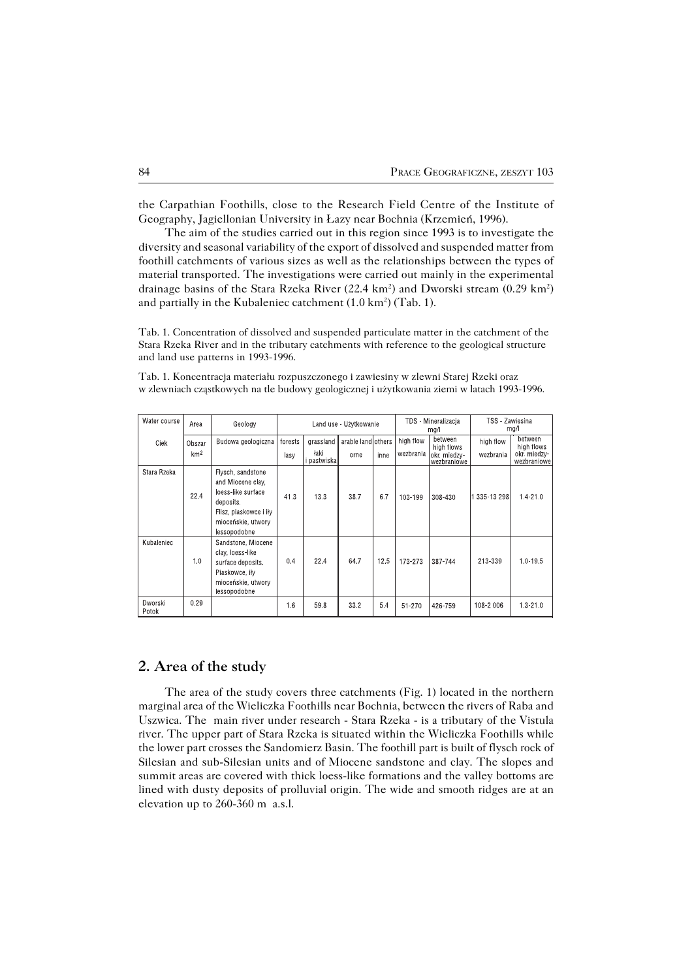the Carpathian Foothills, close to the Research Field Centre of the Institute of Geography, Jagiellonian University in Łazy near Bochnia (Krzemień, 1996).

The aim of the studies carried out in this region since 1993 is to investigate the diversity and seasonal variability of the export of dissolved and suspended matter from foothill catchments of various sizes as well as the relationships between the types of material transported. The investigations were carried out mainly in the experimental drainage basins of the Stara Rzeka River (22.4 km<sup>2</sup>) and Dworski stream (0.29 km<sup>2</sup>) and partially in the Kubaleniec catchment  $(1.0 \text{ km}^2)$  (Tab. 1).

Tab. 1. Concentration of dissolved and suspended particulate matter in the catchment of the Stara Rzeka River and in the tributary catchments with reference to the geological structure and land use patterns in 1993−1996.

Tab. 1. Koncentracja materiału rozpuszczonego i zawiesiny w zlewni Starej Rzeki oraz w zlewniach cząstkowych na tle budowy geologicznej i użytkowania ziemi w latach 1993−1996.

| Water course     | Area            | Geology                                                                                                                                   | Land use - Użytkowanie |                   |                    |      | TDS - Mineralizacja<br>mg/l | TSS Zawiesina<br>mg/        |            |                              |
|------------------|-----------------|-------------------------------------------------------------------------------------------------------------------------------------------|------------------------|-------------------|--------------------|------|-----------------------------|-----------------------------|------------|------------------------------|
| Ciek             | Obszar          | Budowa geologiczna                                                                                                                        | forests                | grassland         | arable land others |      | high flow                   | between<br>high flows       | high flow  | between<br>high flows        |
|                  | km <sup>2</sup> |                                                                                                                                           | lasy                   | łaki<br>pastwiska | orne               | inne | wezbrania                   | okr. miedzy-<br>wezbraniowe | wezbrania  | okr. miedzy<br>wezbraniowe I |
| Stara Rzeka      | 22.4            | Flysch, sandstone<br>and Miocene clay,<br>loess-like surface<br>deposits.<br>Flisz, piaskowce i iły<br>mioceńskie, utwory<br>lessopodobne | 41.3                   | 13.3              | 38.7               | 6.7  | 103-199                     | 308-430                     | 335-13 298 | $1.4 - 21.0$                 |
| Kubaleniec       | 1.0             | Sandstone, Miocene<br>clay, loess-like<br>surface deposits.<br>Piaskowce, iły<br>mioceńskie, utwory<br>lessopodobne                       | 0.4                    | 22.4              | 64.7               | 12.5 | 173-273                     | 387-744                     | 213-339    | 1.0-19.5                     |
| Dworski<br>Potok | 0.29            |                                                                                                                                           | 1.6                    | 59.8              | 33.2               | 5.4  | 51-270                      | 426-759                     | 108-2006   | $1.3 - 21.0$                 |

## **2. Area of the study**

The area of the study covers three catchments (Fig. 1) located in the northern marginal area of the Wieliczka Foothills near Bochnia, between the rivers of Raba and Uszwica. The main river under research − Stara Rzeka − is a tributary of the Vistula river. The upper part of Stara Rzeka is situated within the Wieliczka Foothills while the lower part crosses the Sandomierz Basin. The foothill part is built of flysch rock of Silesian and sub−Silesian units and of Miocene sandstone and clay. The slopes and summit areas are covered with thick loess−like formations and the valley bottoms are lined with dusty deposits of prolluvial origin. The wide and smooth ridges are at an elevation up to 260−360 m a.s.l.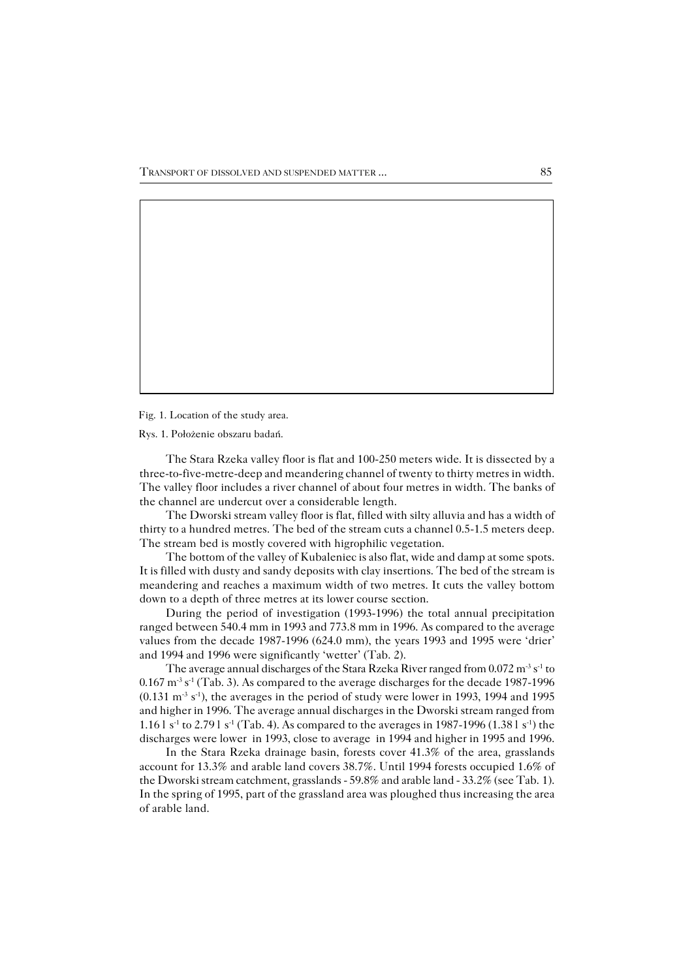Fig. 1. Location of the study area.

Rys. 1. Położenie obszaru badań.

The Stara Rzeka valley floor is flat and 100−250 meters wide. It is dissected by a three−to−five−metre−deep and meandering channel of twenty to thirty metres in width. The valley floor includes a river channel of about four metres in width. The banks of the channel are undercut over a considerable length.

The Dworski stream valley floor is flat, filled with silty alluvia and has a width of thirty to a hundred metres. The bed of the stream cuts a channel 0.5−1.5 meters deep. The stream bed is mostly covered with higrophilic vegetation.

The bottom of the valley of Kubaleniec is also flat, wide and damp at some spots. It is filled with dusty and sandy deposits with clay insertions. The bed of the stream is meandering and reaches a maximum width of two metres. It cuts the valley bottom down to a depth of three metres at its lower course section.

During the period of investigation (1993−1996) the total annual precipitation ranged between 540.4 mm in 1993 and 773.8 mm in 1996. As compared to the average values from the decade 1987−1996 (624.0 mm), the years 1993 and 1995 were 'drier' and 1994 and 1996 were significantly 'wetter' (Tab. 2).

The average annual discharges of the Stara Rzeka River ranged from 0.072 m<sup>-3</sup> s<sup>-1</sup> to 0.167 m−3 s−1 (Tab. 3). As compared to the average discharges for the decade 1987−1996 (0.131 m−3 s−1), the averages in the period of study were lower in 1993, 1994 and 1995 and higher in 1996. The average annual discharges in the Dworski stream ranged from 1.16 l s<sup>-1</sup> to 2.79 l s<sup>-1</sup> (Tab. 4). As compared to the averages in 1987-1996 (1.38 l s<sup>-1</sup>) the discharges were lower in 1993, close to average in 1994 and higher in 1995 and 1996.

In the Stara Rzeka drainage basin, forests cover 41.3% of the area, grasslands account for 13.3% and arable land covers 38.7%. Until 1994 forests occupied 1.6% of the Dworski stream catchment, grasslands − 59.8% and arable land − 33.2% (see Tab.1). In the spring of 1995, part of the grassland area was ploughed thus increasing the area of arable land.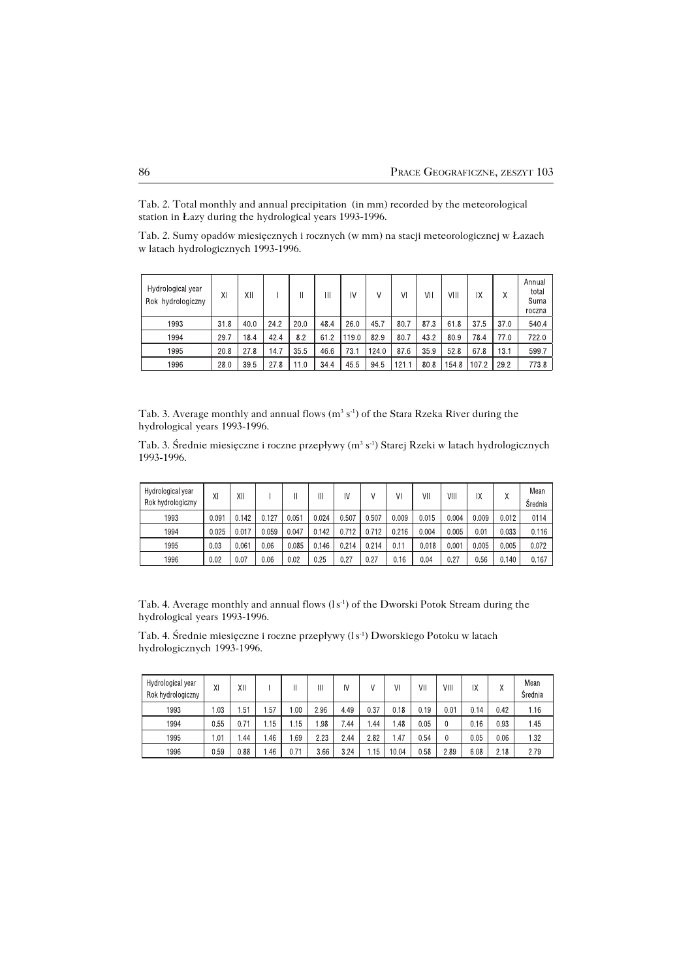Tab. 2. Total monthly and annual precipitation (in mm) recorded by the meteorological station in Łazy during the hydrological years 1993−1996.

Tab. 2. Sumy opadów miesięcznych i rocznych (w mm) na stacji meteorologicznej w Łazach w latach hydrologicznych 1993−1996.

| Hydrological year<br>Rok hydrologiczny | ΧI   | ХII  |      |      | Ш    | IV    |       | ٧I    | ۷H   | VIII  | IX    |      | Annual<br>total<br>Suma<br>roczna |
|----------------------------------------|------|------|------|------|------|-------|-------|-------|------|-------|-------|------|-----------------------------------|
| 1993                                   | 31.8 | 40.0 | 24.2 | 20.0 | 48.4 | 260   | 45.7  | 807   | 87.3 | 61.8  | 37.5  | 37.0 | 540.4                             |
| 1994                                   | 29.7 | 18.4 | 42.4 | 8.2  | 61.2 | 119.0 | 82.9  | 80.7  | 43.2 | 80.9  | 784   | 77.0 | 722.0                             |
| 1995                                   | 20.8 | 27.8 | 147  | 35.5 | 46.6 | 73.1  | 124.0 | 87.6  | 35.9 | 52.8  | 67.8  | 13.1 | 599.7                             |
| 1996                                   | 280  | 39.5 | 27.8 | 11.0 | 34.4 | 45.5  | 945   | 121.1 | 80.8 | 154.8 | 107.2 | 29.2 | 773.8                             |

Tab. 3. Average monthly and annual flows  $(m^3 s^{-1})$  of the Stara Rzeka River during the hydrological years 1993−1996.

Tab. 3. Średnie miesięczne i roczne przepływy (m<sup>3</sup> s<sup>−1</sup>) Starej Rzeki w latach hydrologicznych 1993−1996.

| Hydrological year<br>Rok hydrologiczny | ΧI    | XΙ    |       |                 | Ш     | I٧    |       | ٧I    | ٧II   | VIII  | IΧ    | λ     | Mean<br>Srednia |
|----------------------------------------|-------|-------|-------|-----------------|-------|-------|-------|-------|-------|-------|-------|-------|-----------------|
| 1993                                   | 0.091 | 0.142 | J.127 | 0051            | 0.024 | 0.507 | 0.507 | 0.009 | 0.015 | 0.004 | 0.009 | 0.012 | 0114            |
| 1994                                   | 0.025 | 0.017 | 059 ( | 0.047           | 0.142 | 0.712 | 0.712 | 0.216 | 0.004 | 0.005 | 0.01  | 0.033 | 0.116           |
| 1995                                   | 0.03  | 0.061 | 0.06  | 0.085           | 0.146 | 0.214 | 0.214 | 0.11  | 0.018 | 0.001 | 0.005 | 0.005 | 0.072           |
| 1996                                   | 0.02  | 0.07  | 0.06  | 0 <sub>02</sub> | 0.25  | 0.27  | 0.27  | 0.16  | 0.04  | 0.27  | 0.56  | 0.140 | 0.167           |

Tab. 4. Average monthly and annual flows  $(1s<sup>-1</sup>)$  of the Dworski Potok Stream during the hydrological years 1993−1996.

Tab. 4. Średnie miesięczne i roczne przepływy (ls −1) Dworskiego Potoku w latach hydrologicznych 1993−1996.

| Hydrological year<br>Rok hydrologiczny | XI   | ΧIΙ  |      |      | Ш    | IV   | V    | ٧I    | ٧II  | VIII | IΧ   | $\checkmark$<br>Λ | Mean<br>Srednia |
|----------------------------------------|------|------|------|------|------|------|------|-------|------|------|------|-------------------|-----------------|
| 1993                                   | l 03 | .51  | .57  | l 00 | 296  | 4.49 | 037  | 0.18  | 0.19 | 0.01 | 0.14 | 042               | 1.16            |
| 1994                                   | 0.55 | 0.71 | 1.15 | 1.15 | .98  | 7.44 | . 44 | 48    | 0.05 | 0    | 0.16 | 0.93              | 1.45            |
| 1995                                   | 01   | -44  | .46  | 69   | 223  | 244  | 282  | .47   | 0.54 | 0    | 0.05 | 0.06              | 1.32            |
| 1996                                   | 059  | 0.88 | .46  | 0.71 | 3.66 | 324  | i 15 | 00 04 | 0.58 | 2.89 | 6.08 | 2.18              | 279             |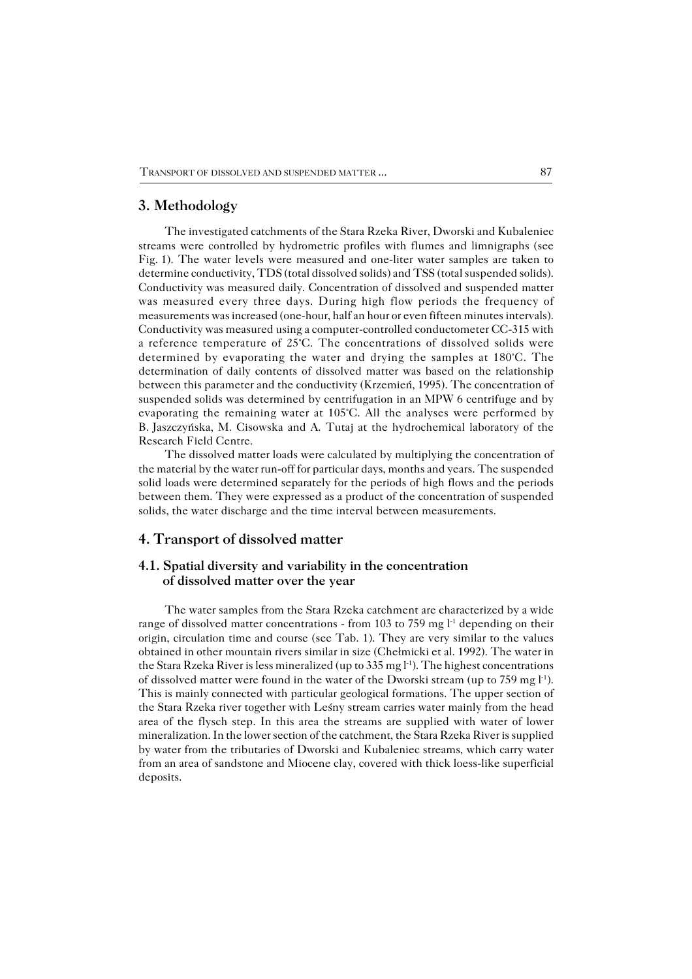#### **3. Methodology**

The investigated catchments of the Stara Rzeka River, Dworski and Kubaleniec streams were controlled by hydrometric profiles with flumes and limnigraphs (see Fig.1). The water levels were measured and one−liter water samples are taken to determine conductivity, TDS (total dissolved solids) and TSS (total suspended solids). Conductivity was measured daily. Concentration of dissolved and suspended matter was measured every three days. During high flow periods the frequency of measurements was increased (one−hour, half an hour or even fifteen minutes intervals). Conductivity was measured using a computer−controlled conductometer CC−315 with a reference temperature of 25°C. The concentrations of dissolved solids were determined by evaporating the water and drying the samples at 180°C. The determination of daily contents of dissolved matter was based on the relationship between this parameter and the conductivity (Krzemień, 1995). The concentration of suspended solids was determined by centrifugation in an MPW 6 centrifuge and by evaporating the remaining water at 105°C. All the analyses were performed by B.Jaszczyńska, M. Cisowska and A. Tutaj at the hydrochemical laboratory of the Research Field Centre.

The dissolved matter loads were calculated by multiplying the concentration of the material by the water run−off for particular days, months and years. The suspended solid loads were determined separately for the periods of high flows and the periods between them. They were expressed as a product of the concentration of suspended solids, the water discharge and the time interval between measurements.

## **4. Transport of dissolved matter**

## **4.1. Spatial diversity and variability in the concentration of dissolved matter over the year**

The water samples from the Stara Rzeka catchment are characterized by a wide range of dissolved matter concentrations - from 103 to 759 mg l<sup>-1</sup> depending on their origin, circulation time and course (see Tab. 1). They are very similar to the values obtained in other mountain rivers similar in size (Chełmicki et al. 1992). The water in the Stara Rzeka River is less mineralized (up to 335 mg l−1). The highest concentrations of dissolved matter were found in the water of the Dworski stream (up to 759 mg l<sup>-1</sup>). This is mainly connected with particular geological formations. The upper section of the Stara Rzeka river together with Leśny stream carries water mainly from the head area of the flysch step. In this area the streams are supplied with water of lower mineralization. In the lower section of the catchment, the Stara Rzeka River is supplied by water from the tributaries of Dworski and Kubaleniec streams, which carry water from an area of sandstone and Miocene clay, covered with thick loess−like superficial deposits.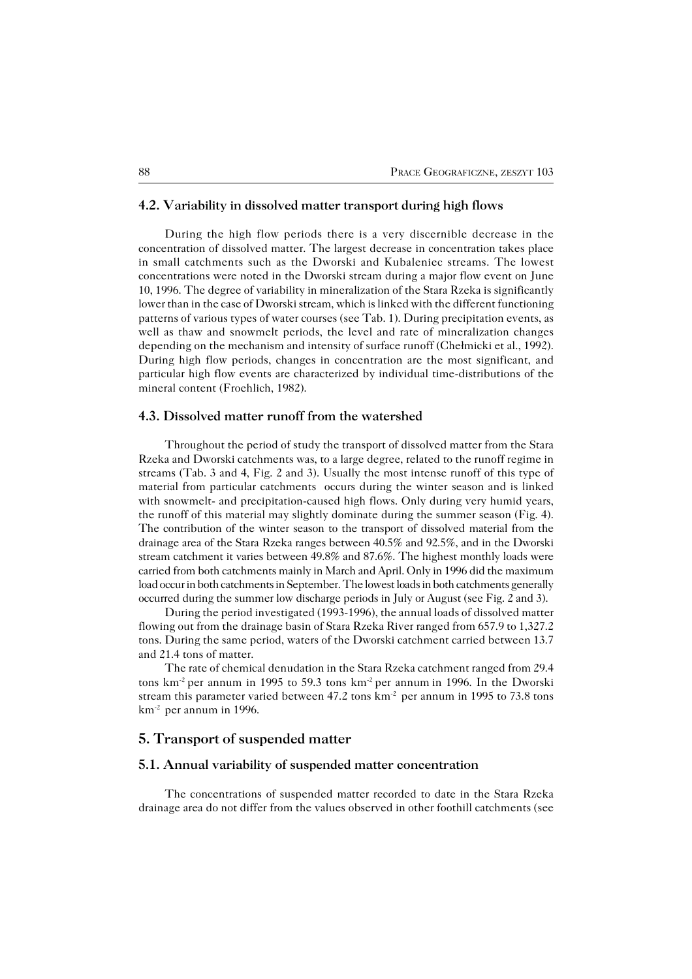#### **4.2. Variability in dissolved matter transport during high flows**

During the high flow periods there is a very discernible decrease in the concentration of dissolved matter. The largest decrease in concentration takes place in small catchments such as the Dworski and Kubaleniec streams. The lowest concentrations were noted in the Dworski stream during a major flow event on June 10, 1996. The degree of variability in mineralization of the Stara Rzeka is significantly lower than in the case of Dworski stream, which is linked with the different functioning patterns of various types of water courses (see Tab. 1). During precipitation events, as well as thaw and snowmelt periods, the level and rate of mineralization changes depending on the mechanism and intensity of surface runoff (Chełmicki et al., 1992). During high flow periods, changes in concentration are the most significant, and particular high flow events are characterized by individual time−distributions of the mineral content (Froehlich, 1982).

## **4.3. Dissolved matter runoff from the watershed**

Throughout the period of study the transport of dissolved matter from the Stara Rzeka and Dworski catchments was, to a large degree, related to the runoff regime in streams (Tab. 3 and 4, Fig. 2 and 3). Usually the most intense runoff of this type of material from particular catchments occurs during the winter season and is linked with snowmelt− and precipitation−caused high flows. Only during very humid years, the runoff of this material may slightly dominate during the summer season (Fig. 4). The contribution of the winter season to the transport of dissolved material from the drainage area of the Stara Rzeka ranges between 40.5% and 92.5%, and in the Dworski stream catchment it varies between 49.8% and 87.6%. The highest monthly loads were carried from both catchments mainly in March and April. Only in 1996 did the maximum load occur in both catchments in September. The lowest loads in both catchments generally occurred during the summer low discharge periods in July or August (see Fig. 2 and 3).

During the period investigated (1993−1996), the annual loads of dissolved matter flowing out from the drainage basin of Stara Rzeka River ranged from 657.9 to 1,327.2 tons. During the same period, waters of the Dworski catchment carried between 13.7 and 21.4 tons of matter.

The rate of chemical denudation in the Stara Rzeka catchment ranged from 29.4 tons km−2 per annum in 1995 to 59.3 tons km−2 per annum in 1996. In the Dworski stream this parameter varied between 47.2 tons km<sup>-2</sup> per annum in 1995 to 73.8 tons km−2 per annum in 1996.

## **5. Transport of suspended matter**

#### **5.1. Annual variability of suspended matter concentration**

The concentrations of suspended matter recorded to date in the Stara Rzeka drainage area do not differ from the values observed in other foothill catchments (see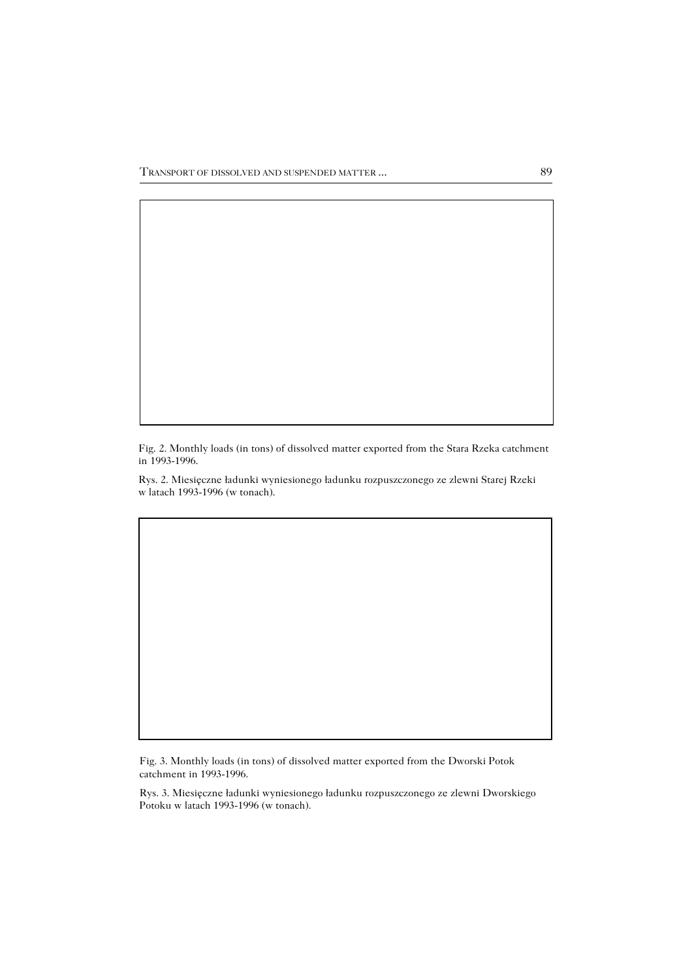TRANSPORT OF DISSOLVED AND SUSPENDED MATTER ... 89

Fig. 2. Monthly loads (in tons) of dissolved matter exported from the Stara Rzeka catchment in 1993−1996.

Rys. 2. Miesięczne ładunki wyniesionego ładunku rozpuszczonego ze zlewni Starej Rzeki w latach 1993−1996 (w tonach).

Fig. 3. Monthly loads (in tons) of dissolved matter exported from the Dworski Potok catchment in 1993−1996.

Rys. 3. Miesięczne ładunki wyniesionego ładunku rozpuszczonego ze zlewni Dworskiego Potoku w latach 1993−1996 (w tonach).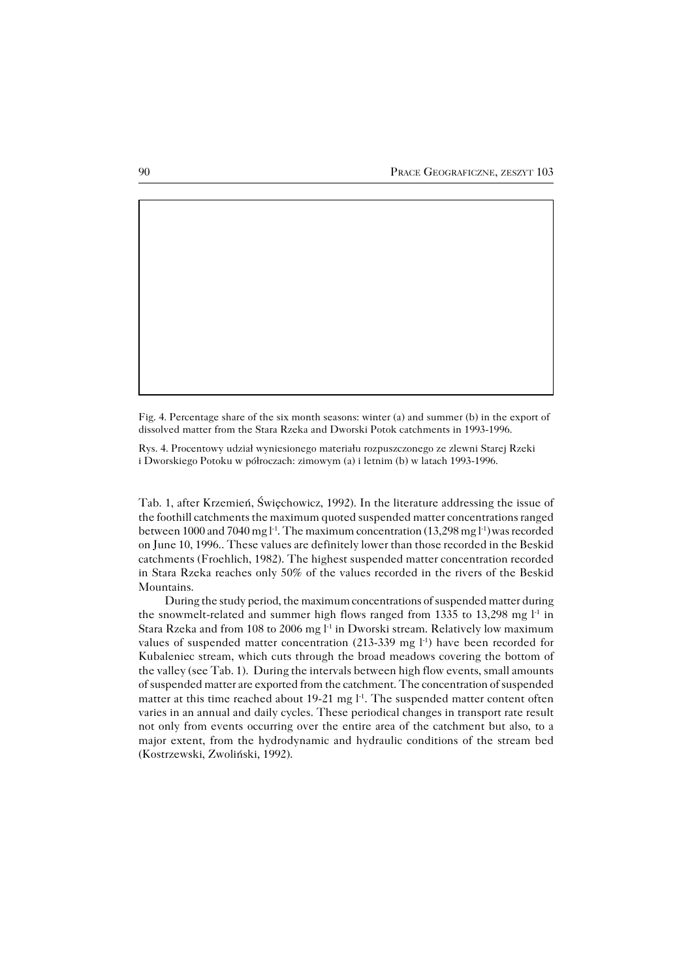Fig. 4. Percentage share of the six month seasons: winter (a) and summer (b) in the export of dissolved matter from the Stara Rzeka and Dworski Potok catchments in 1993−1996.

Rys. 4. Procentowy udział wyniesionego materiału rozpuszczonego ze zlewni Starej Rzeki i Dworskiego Potoku w półroczach: zimowym (a) i letnim (b) w latach 1993−1996.

Tab. 1, after Krzemień, Święchowicz, 1992). In the literature addressing the issue of the foothill catchments the maximum quoted suspended matter concentrations ranged between 1000 and 7040 mg l<sup>-1</sup>. The maximum concentration (13,298 mg l<sup>-1</sup>) was recorded on June 10, 1996.. These values are definitely lower than those recorded in the Beskid catchments (Froehlich, 1982). The highest suspended matter concentration recorded in Stara Rzeka reaches only 50% of the values recorded in the rivers of the Beskid Mountains.

During the study period, the maximum concentrations of suspended matter during the snowmelt-related and summer high flows ranged from 1335 to 13,298 mg l<sup>-1</sup> in Stara Rzeka and from 108 to 2006 mg l<sup>-1</sup> in Dworski stream. Relatively low maximum values of suspended matter concentration (213-339 mg  $l^{-1}$ ) have been recorded for Kubaleniec stream, which cuts through the broad meadows covering the bottom of the valley (see Tab. 1). During the intervals between high flow events, small amounts of suspended matter are exported from the catchment. The concentration of suspended matter at this time reached about 19-21 mg l<sup>-1</sup>. The suspended matter content often varies in an annual and daily cycles. These periodical changes in transport rate result not only from events occurring over the entire area of the catchment but also, to a major extent, from the hydrodynamic and hydraulic conditions of the stream bed (Kostrzewski, Zwoliński, 1992).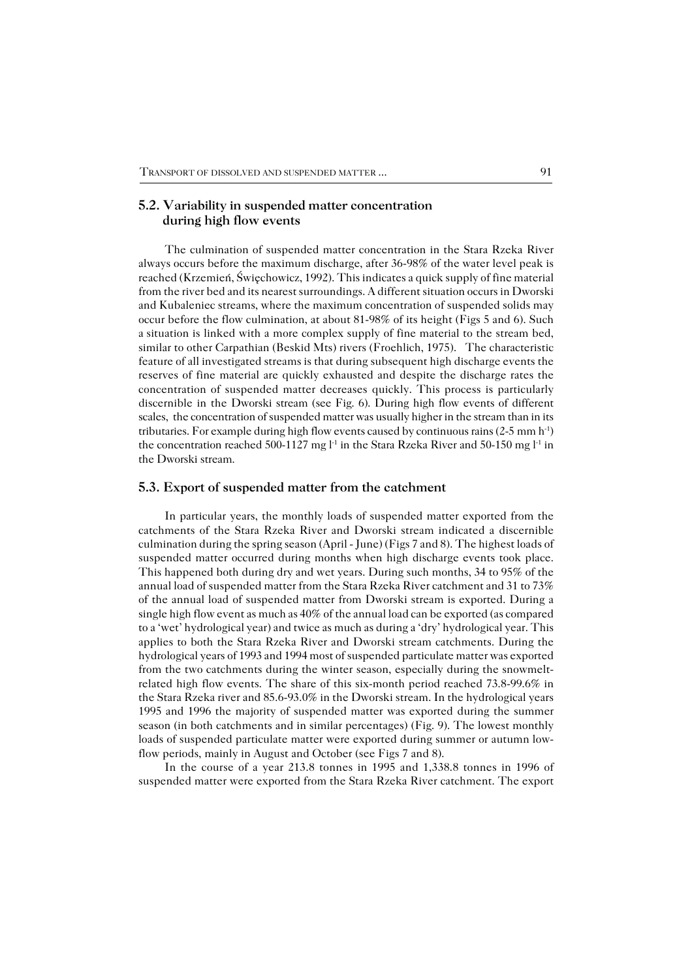#### **5.2. Variability in suspended matter concentration during high flow events**

The culmination of suspended matter concentration in the Stara Rzeka River always occurs before the maximum discharge, after 36−98% of the water level peak is reached (Krzemień, Święchowicz, 1992). This indicates a quick supply of fine material from the river bed and its nearest surroundings. A different situation occurs in Dworski and Kubaleniec streams, where the maximum concentration of suspended solids may occur before the flow culmination, at about 81−98% of its height (Figs 5 and 6). Such a situation is linked with a more complex supply of fine material to the stream bed, similar to other Carpathian (Beskid Mts) rivers (Froehlich, 1975). The characteristic feature of all investigated streams is that during subsequent high discharge events the reserves of fine material are quickly exhausted and despite the discharge rates the concentration of suspended matter decreases quickly. This process is particularly discernible in the Dworski stream (see Fig. 6). During high flow events of different scales, the concentration of suspended matter was usually higher in the stream than in its tributaries. For example during high flow events caused by continuous rains (2−5mm h−1) the concentration reached 500−1127 mg l<sup>-1</sup> in the Stara Rzeka River and 50−150 mg l<sup>-1</sup> in the Dworski stream.

#### **5.3. Export of suspended matter from the catchment**

In particular years, the monthly loads of suspended matter exported from the catchments of the Stara Rzeka River and Dworski stream indicated a discernible culmination during the spring season (April − June) (Figs 7 and 8). The highest loads of suspended matter occurred during months when high discharge events took place. This happened both during dry and wet years. During such months, 34 to 95% of the annual load of suspended matter from the Stara Rzeka River catchment and 31 to 73% of the annual load of suspended matter from Dworski stream is exported. During a single high flow event as much as 40% of the annual load can be exported (as compared to a 'wet' hydrological year) and twice as much as during a 'dry' hydrological year. This applies to both the Stara Rzeka River and Dworski stream catchments. During the hydrological years of 1993 and 1994 most of suspended particulate matter was exported from the two catchments during the winter season, especially during the snowmelt− related high flow events. The share of this six−month period reached 73.8−99.6% in the Stara Rzeka river and 85.6−93.0% in the Dworski stream. In the hydrological years 1995 and 1996 the majority of suspended matter was exported during the summer season (in both catchments and in similar percentages) (Fig. 9). The lowest monthly loads of suspended particulate matter were exported during summer or autumn low− flow periods, mainly in August and October (see Figs 7 and 8).

In the course of a year 213.8 tonnes in 1995 and 1,338.8 tonnes in 1996 of suspended matter were exported from the Stara Rzeka River catchment. The export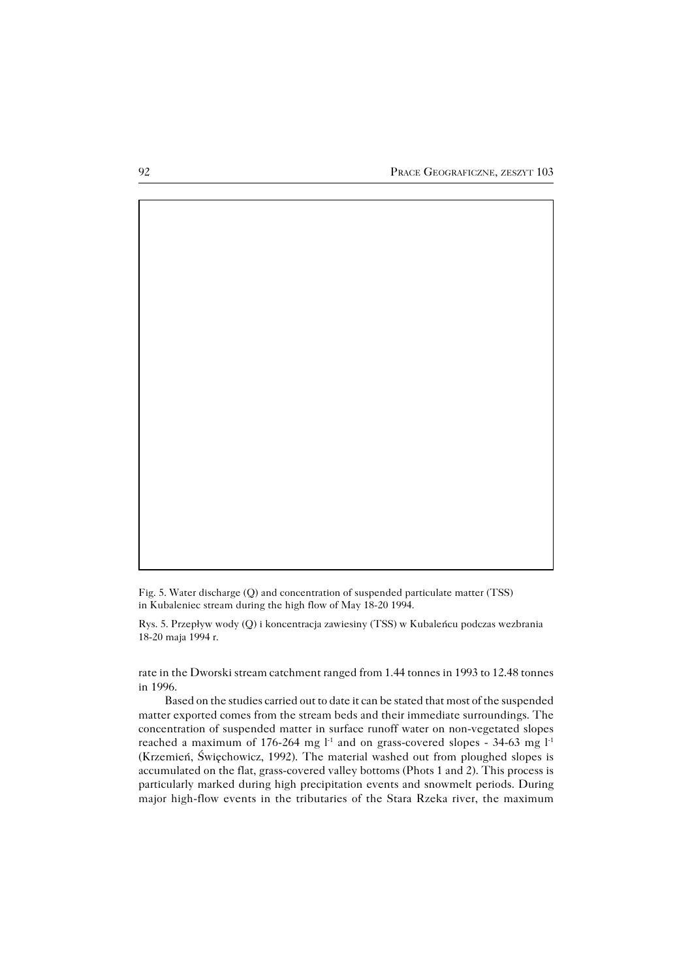Fig. 5. Water discharge (Q) and concentration of suspended particulate matter (TSS) in Kubaleniec stream during the high flow of May 18−20 1994.

Rys. 5. Przepływ wody (Q) i koncentracja zawiesiny (TSS) w Kubaleńcu podczas wezbrania 18−20 maja 1994 r.

rate in the Dworski stream catchment ranged from 1.44 tonnes in 1993 to 12.48 tonnes in 1996.

Based on the studies carried out to date it can be stated that most of the suspended matter exported comes from the stream beds and their immediate surroundings. The concentration of suspended matter in surface runoff water on non−vegetated slopes reached a maximum of 176-264 mg l<sup>-1</sup> and on grass-covered slopes - 34-63 mg l<sup>-1</sup> (Krzemień, Święchowicz, 1992). The material washed out from ploughed slopes is accumulated on the flat, grass−covered valley bottoms (Phots 1 and 2). This process is particularly marked during high precipitation events and snowmelt periods. During major high−flow events in the tributaries of the Stara Rzeka river, the maximum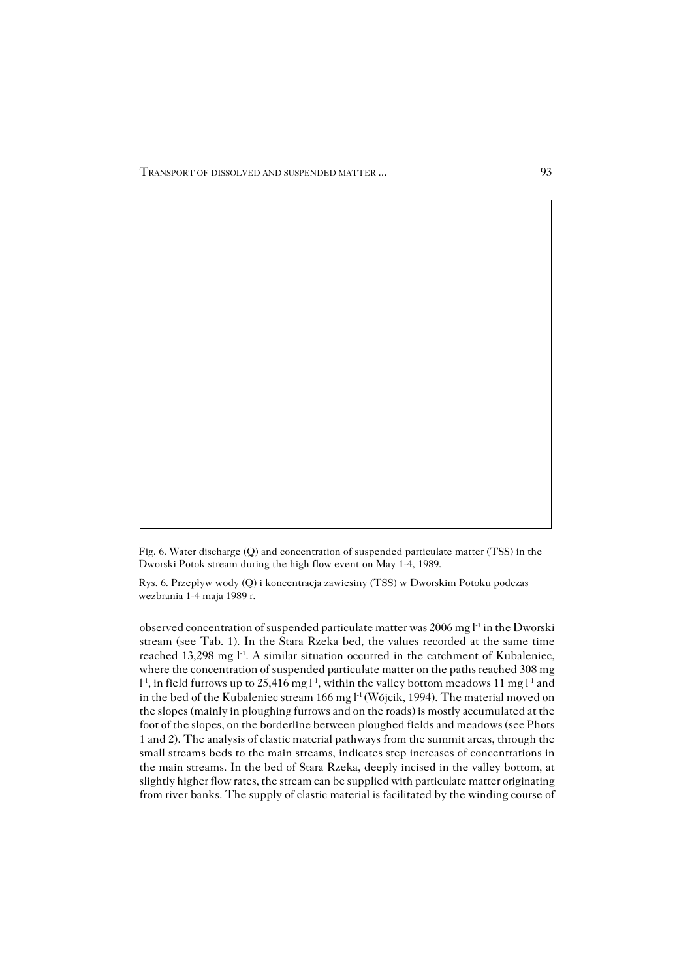Fig. 6. Water discharge (Q) and concentration of suspended particulate matter (TSS) in the Dworski Potok stream during the high flow event on May 1−4, 1989.

Rys. 6. Przepływ wody (Q) i koncentracja zawiesiny (TSS) w Dworskim Potoku podczas wezbrania 1−4 maja 1989 r.

observed concentration of suspended particulate matter was 2006 mg l−1 in the Dworski stream (see Tab. 1). In the Stara Rzeka bed, the values recorded at the same time reached 13,298 mg l<sup>-1</sup>. A similar situation occurred in the catchment of Kubaleniec, where the concentration of suspended particulate matter on the paths reached 308 mg l<sup>-1</sup>, in field furrows up to 25,416 mg l<sup>-1</sup>, within the valley bottom meadows 11 mg l<sup>-1</sup> and in the bed of the Kubaleniec stream 166 mg l−1 (Wójcik, 1994). The material moved on the slopes (mainly in ploughing furrows and on the roads) is mostly accumulated at the foot of the slopes, on the borderline between ploughed fields and meadows (see Phots 1 and 2). The analysis of clastic material pathways from the summit areas, through the small streams beds to the main streams, indicates step increases of concentrations in the main streams. In the bed of Stara Rzeka, deeply incised in the valley bottom, at slightly higher flow rates, the stream can be supplied with particulate matter originating from river banks. The supply of clastic material is facilitated by the winding course of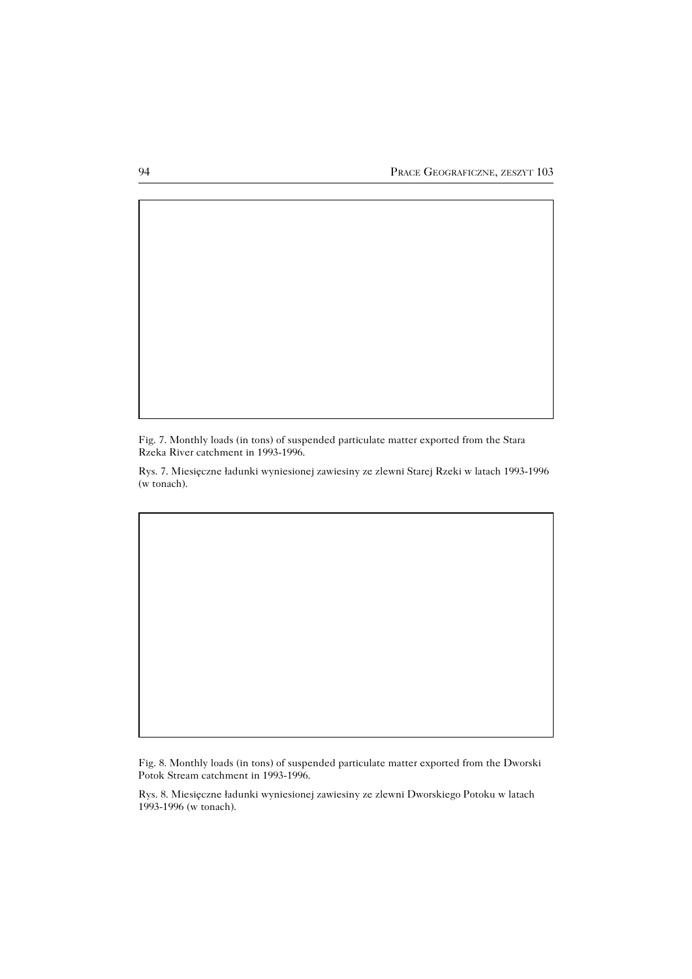Fig. 7. Monthly loads (in tons) of suspended particulate matter exported from the Stara Rzeka River catchment in 1993−1996.

Rys. 7. Miesięczne ładunki wyniesionej zawiesiny ze zlewni Starej Rzeki w latach 1993−1996 (w tonach).

Fig. 8. Monthly loads (in tons) of suspended particulate matter exported from the Dworski Potok Stream catchment in 1993−1996.

Rys. 8. Miesięczne ładunki wyniesionej zawiesiny ze zlewni Dworskiego Potoku w latach 1993−1996 (w tonach).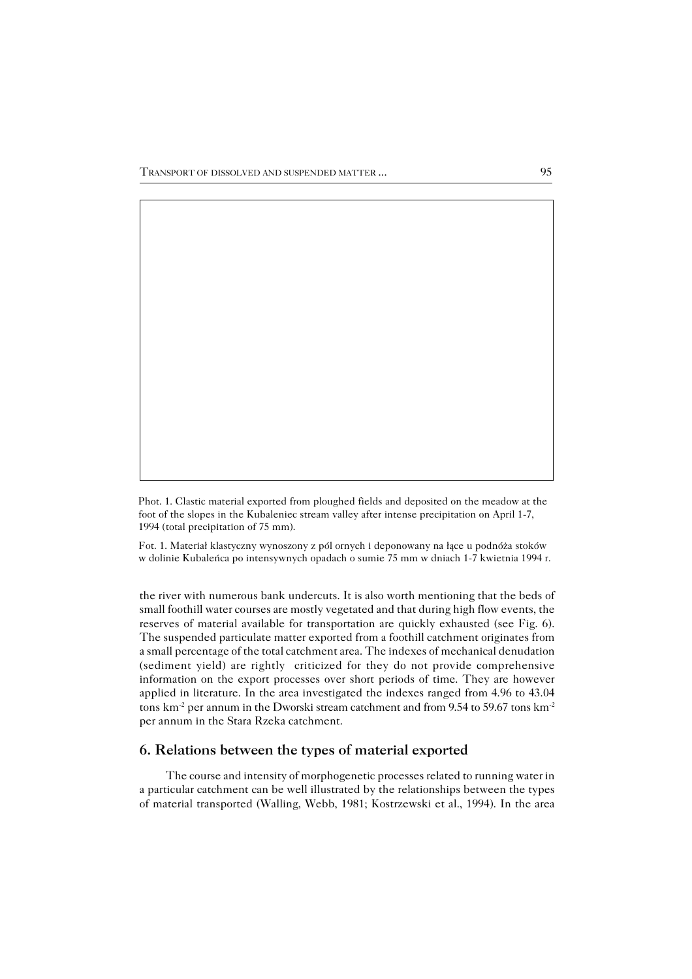Phot. 1. Clastic material exported from ploughed fields and deposited on the meadow at the foot of the slopes in the Kubaleniec stream valley after intense precipitation on April 1−7, 1994 (total precipitation of 75 mm).

Fot. 1. Materiał klastyczny wynoszony z pól ornych i deponowany na łące u podnóża stoków w dolinie Kubaleńca po intensywnych opadach o sumie 75 mm w dniach 1−7 kwietnia 1994 r.

the river with numerous bank undercuts. It is also worth mentioning that the beds of small foothill water courses are mostly vegetated and that during high flow events, the reserves of material available for transportation are quickly exhausted (see Fig. 6). The suspended particulate matter exported from a foothill catchment originates from a small percentage of the total catchment area. The indexes of mechanical denudation (sediment yield) are rightly criticized for they do not provide comprehensive information on the export processes over short periods of time. They are however applied in literature. In the area investigated the indexes ranged from 4.96 to 43.04 tons km<sup>-2</sup> per annum in the Dworski stream catchment and from 9.54 to 59.67 tons km<sup>-2</sup> per annum in the Stara Rzeka catchment.

## **6. Relations between the types of material exported**

The course and intensity of morphogenetic processes related to running water in a particular catchment can be well illustrated by the relationships between the types of material transported (Walling, Webb, 1981; Kostrzewski et al., 1994). In the area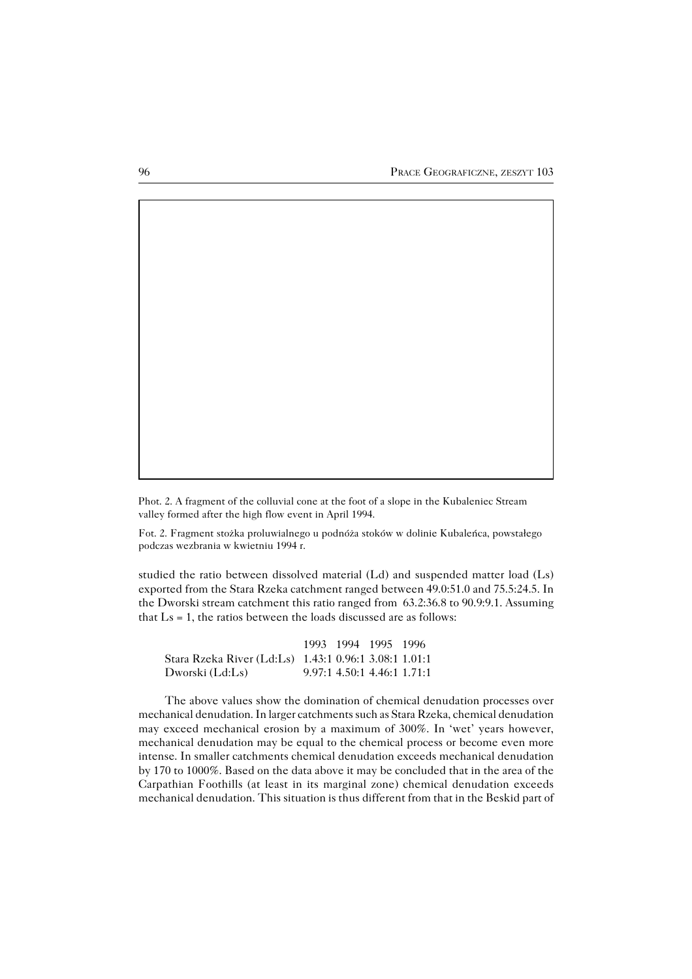Phot. 2. A fragment of the colluvial cone at the foot of a slope in the Kubaleniec Stream valley formed after the high flow event in April 1994.

Fot. 2. Fragment stożka proluwialnego u podnóża stoków w dolinie Kubaleńca, powstałego podczas wezbrania w kwietniu 1994 r.

studied the ratio between dissolved material (Ld) and suspended matter load (Ls) exported from the Stara Rzeka catchment ranged between 49.0:51.0 and 75.5:24.5. In the Dworski stream catchment this ratio ranged from 63.2:36.8 to 90.9:9.1. Assuming that  $Ls = 1$ , the ratios between the loads discussed are as follows:

|                                                         |  | 1993 1994 1995 1996           |  |
|---------------------------------------------------------|--|-------------------------------|--|
| Stara Rzeka River (Ld:Ls)   1.43:1 0.96:1 3.08:1 1.01:1 |  |                               |  |
| Dworski (Ld:Ls)                                         |  | $9.97:1$ 4.50:1 4.46:1 1.71:1 |  |

The above values show the domination of chemical denudation processes over mechanical denudation. In larger catchments such as Stara Rzeka, chemical denudation may exceed mechanical erosion by a maximum of 300%. In 'wet' years however, mechanical denudation may be equal to the chemical process or become even more intense. In smaller catchments chemical denudation exceeds mechanical denudation by 170 to 1000%. Based on the data above it may be concluded that in the area of the Carpathian Foothills (at least in its marginal zone) chemical denudation exceeds mechanical denudation. This situation is thus different from that in the Beskid part of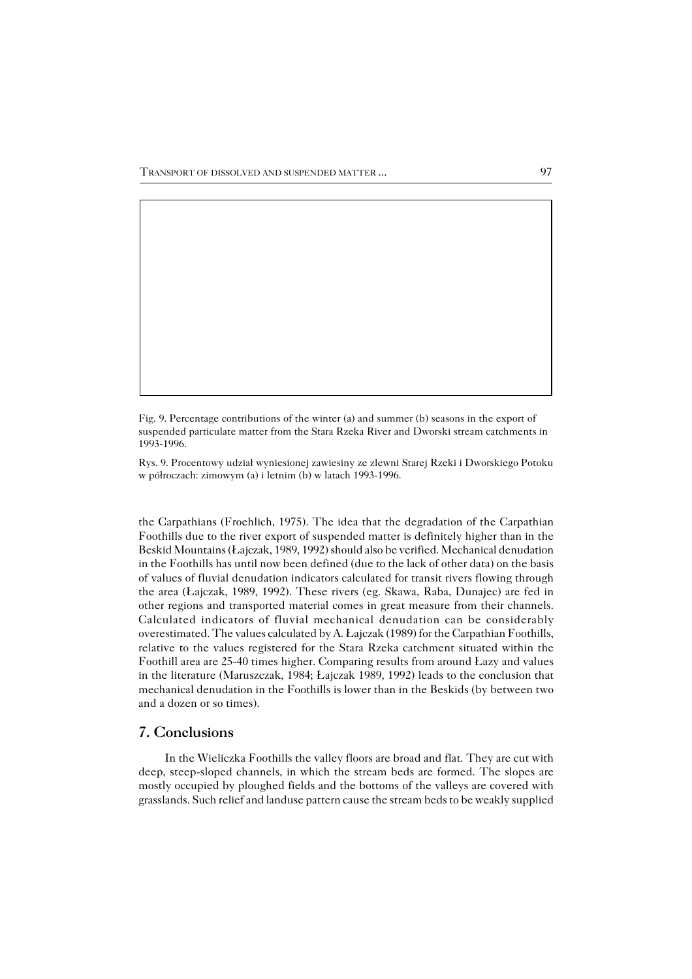Fig. 9. Percentage contributions of the winter (a) and summer (b) seasons in the export of suspended particulate matter from the Stara Rzeka River and Dworski stream catchments in 1993−1996.

Rys. 9. Procentowy udział wyniesionej zawiesiny ze zlewni Starej Rzeki i Dworskiego Potoku w półroczach: zimowym (a) i letnim (b) w latach 1993−1996.

the Carpathians (Froehlich, 1975). The idea that the degradation of the Carpathian Foothills due to the river export of suspended matter is definitely higher than in the Beskid Mountains (Łajczak, 1989, 1992) should also be verified. Mechanical denudation in the Foothills has until now been defined (due to the lack of other data) on the basis of values of fluvial denudation indicators calculated for transit rivers flowing through the area (Łajczak, 1989, 1992). These rivers (eg. Skawa, Raba, Dunajec) are fed in other regions and transported material comes in great measure from their channels. Calculated indicators of fluvial mechanical denudation can be considerably overestimated. The values calculated by A. Łajczak (1989) for the Carpathian Foothills, relative to the values registered for the Stara Rzeka catchment situated within the Foothill area are 25−40 times higher. Comparing results from around Łazy and values in the literature (Maruszczak, 1984; Łajczak 1989, 1992) leads to the conclusion that mechanical denudation in the Foothills is lower than in the Beskids (by between two and a dozen or so times).

## **7. Conclusions**

In the Wieliczka Foothills the valley floors are broad and flat. They are cut with deep, steep−sloped channels, in which the stream beds are formed. The slopes are mostly occupied by ploughed fields and the bottoms of the valleys are covered with grasslands. Such relief and landuse pattern cause the stream beds to be weakly supplied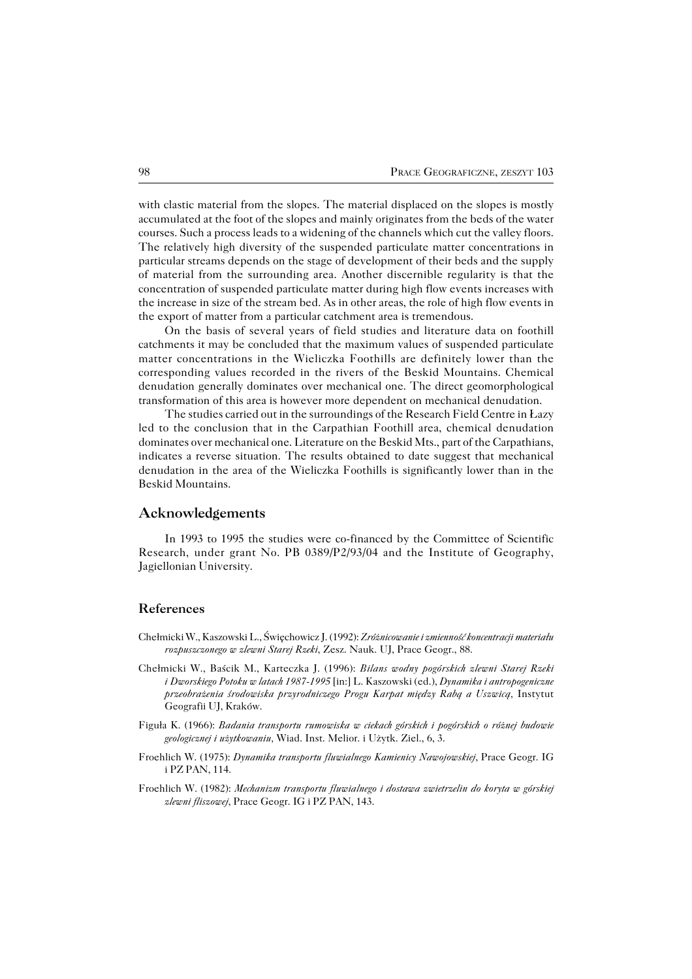with clastic material from the slopes. The material displaced on the slopes is mostly accumulated at the foot of the slopes and mainly originates from the beds of the water courses. Such a process leads to a widening of the channels which cut the valley floors. The relatively high diversity of the suspended particulate matter concentrations in particular streams depends on the stage of development of their beds and the supply of material from the surrounding area. Another discernible regularity is that the concentration of suspended particulate matter during high flow events increases with the increase in size of the stream bed. As in other areas, the role of high flow events in the export of matter from a particular catchment area is tremendous.

On the basis of several years of field studies and literature data on foothill catchments it may be concluded that the maximum values of suspended particulate matter concentrations in the Wieliczka Foothills are definitely lower than the corresponding values recorded in the rivers of the Beskid Mountains. Chemical denudation generally dominates over mechanical one. The direct geomorphological transformation of this area is however more dependent on mechanical denudation.

The studies carried out in the surroundings of the Research Field Centre in Łazy led to the conclusion that in the Carpathian Foothill area, chemical denudation dominates over mechanical one. Literature on the Beskid Mts., part of the Carpathians, indicates a reverse situation. The results obtained to date suggest that mechanical denudation in the area of the Wieliczka Foothills is significantly lower than in the Beskid Mountains.

#### **Acknowledgements**

In 1993 to 1995 the studies were co−financed by the Committee of Scientific Research, under grant No. PB 0389/P2/93/04 and the Institute of Geography, Jagiellonian University.

### **References**

- Chełmicki W., Kaszowski L., Święchowicz J. (1992): *Zróżnicowanie i zmienność koncentracji materiału rozpuszczonego w zlewni Starej Rzeki*, Zesz. Nauk. UJ, Prace Geogr., 88.
- Chełmicki W., Baścik M., Karteczka J. (1996): *Bilans wodny pogórskich zlewni Starej Rzeki iDworskiego Potoku w latach 1987−1995* [in:] L. Kaszowski (ed.), *Dynamika i antropogeniczne przeobrażenia środowiska przyrodniczego Progu Karpat między Rabą a Uszwicą,* Instytut Geografii UJ, Kraków.
- Figuła K. (1966): *Badania transportu rumowiska w ciekach górskich i pogórskich o różnej budowie geologicznej i użytkowaniu,* Wiad. Inst. Melior. i Użytk. Ziel., 6, 3.
- Froehlich W. (1975): *Dynamika transportu fluwialnego Kamienicy Nawojowskiej*, Prace Geogr. IG iPZ PAN, 114.
- Froehlich W. (1982): *Mechanizm transportu fluwialnego i dostawa zwietrzelin do koryta w górskiej zlewni fliszowej*, Prace Geogr. IG i PZ PAN, 143.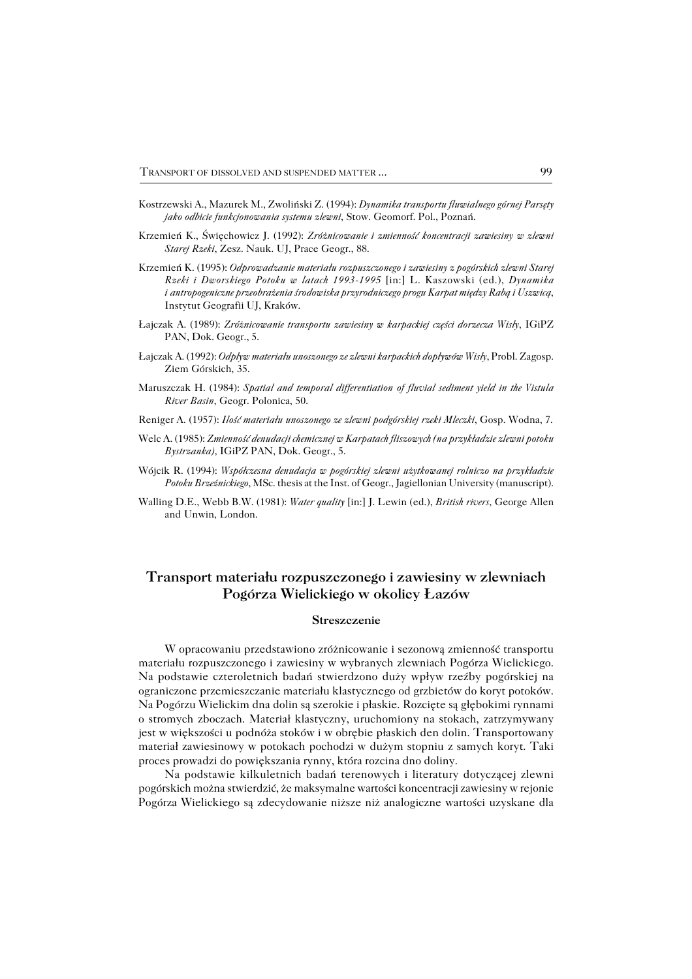- Kostrzewski A., Mazurek M., Zwoliński Z. (1994): *Dynamika transportu fluwialnego górnej Parsęty jako odbicie funkcjonowania systemu zlewni*, Stow. Geomorf. Pol., Poznań.
- Krzemień K., Święchowicz J. (1992): *Zróżnicowanie i zmienność koncentracji zawiesiny w zlewni Starej Rzeki*, Zesz. Nauk. UJ, Prace Geogr., 88.
- Krzemień K. (1995): *Odprowadzanie materiału rozpuszczonego i zawiesiny z pogórskich zlewni Starej Rzeki i Dworskiego Potoku w latach 1993−1995* [in:] L. Kaszowski (ed.), *Dynamika iantropogeniczne przeobrażenia środowiska przyrodniczego progu Karpat między Rabą i Uszwicą*, Instytut Geografii UJ, Kraków.
- Łajczak A. (1989): *Zróżnicowanie transportu zawiesiny w karpackiej części dorzecza Wisły*, IGiPZ PAN, Dok. Geogr., 5.
- Łajczak A. (1992): *Odpływ materiału unoszonego ze zlewni karpackich dopływów Wisły*, Probl. Zagosp. Ziem Górskich, 35.
- Maruszczak H. (1984): *Spatial and temporal differentiation of fluvial sediment yield in the Vistula River Basin*, Geogr. Polonica, 50.
- Reniger A. (1957): *Ilość materiału unoszonego ze zlewni podgórskiej rzeki Mleczki*, Gosp. Wodna, 7.
- Welc A. (1985): *Zmienność denudacji chemicznej w Karpatach fliszowych (na przykładzie zlewni potoku Bystrzanka),* IGiPZ PAN, Dok. Geogr., 5.
- Wójcik R. (1994): *Współczesna denudacja w pogórskiej zlewni użytkowanej rolniczo na przykładzie Potoku Brzeźnickiego*, MSc. thesis at the Inst. of Geogr., Jagiellonian University (manuscript).
- Walling D.E., Webb B.W. (1981): *Water quality* [in:] J. Lewin (ed.), *British rivers*, George Allen and Unwin, London.

# **Transport materiału rozpuszczonego i zawiesiny w zlewniach Pogórza Wielickiego w okolicy Łazów**

#### **Streszczenie**

W opracowaniu przedstawiono zróżnicowanie i sezonową zmienność transportu materiału rozpuszczonego i zawiesiny w wybranych zlewniach Pogórza Wielickiego. Na podstawie czteroletnich badań stwierdzono duży wpływ rzeźby pogórskiej na ograniczone przemieszczanie materiału klastycznego od grzbietów do koryt potoków. Na Pogórzu Wielickim dna dolin są szerokie i płaskie. Rozcięte są głębokimi rynnami o stromych zboczach. Materiał klastyczny, uruchomiony na stokach, zatrzymywany jest w większości u podnóża stoków i w obrębie płaskich den dolin. Transportowany materiał zawiesinowy w potokach pochodzi w dużym stopniu z samych koryt. Taki proces prowadzi do powiększania rynny, która rozcina dno doliny.

Na podstawie kilkuletnich badań terenowych i literatury dotyczącej zlewni pogórskich można stwierdzić, że maksymalne wartości koncentracji zawiesiny w rejonie Pogórza Wielickiego są zdecydowanie niższe niż analogiczne wartości uzyskane dla